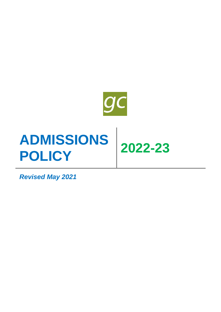

# **ADMISSIONS POLICY 2022-23**

*Revised May 2021*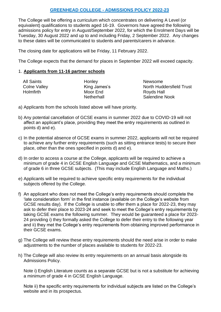# **GREENHEAD COLLEGE - ADMISSIONS POLICY 2022-23**

The College will be offering a curriculum which concentrates on delivering A Level (or equivalent) qualifications to students aged 16-19. Governors have agreed the following admissions policy for entry in August/September 2022, for which the Enrolment Days will be Tuesday, 30 August 2022 and up to and including Friday, 2 September 2022. Any changes to these dates will be communicated to students and parents/carers in advance.

The closing date for applications will be Friday, 11 February 2022.

The College expects that the demand for places in September 2022 will exceed capacity.

## 1. **Applicants from 11-16 partner schools**

| <b>All Saints</b>   | Honley      |
|---------------------|-------------|
| <b>Colne Valley</b> | King James' |
| <b>Holmfirth</b>    | Moor End    |
|                     | Netherhall  |

Newsome s **College Market North Huddersfield Trust** Royds Hall Netherhall Salendine Nook

- a) Applicants from the schools listed above will have priority.
- b) Any potential cancellation of GCSE exams in summer 2022 due to COVID-19 will not affect an applicant's place, providing they meet the entry requirements as outlined in points d) and e).
- c) In the potential absence of GCSE exams in summer 2022, applicants will not be required to achieve any further entry requirements (such as sitting entrance tests) to secure their place, other than the ones specified in points d) and e).
- d) In order to access a course at the College, applicants will be required to achieve a minimum of grade 4 in GCSE English Language and GCSE Mathematics, and a minimum of grade 6 in three GCSE subjects. (This may include English Language and Maths.)
- e) Applicants will be required to achieve specific entry requirements for the individual subjects offered by the College.
- f) An applicant who does not meet the College's entry requirements should complete the 'late consideration form' in the first instance (available on the College's website from GCSE results day). If the College is unable to offer them a place for 2022-23, they may ask to defer their place to 2023-24 and seek to meet the College's entry requirements by taking GCSE exams the following summer. They would be guaranteed a place for 2023- 24 providing i) they formally asked the College to defer their entry to the following year and ii) they met the College's entry requirements from obtaining improved performance in their GCSE exams.
- g) The College will review these entry requirements should the need arise in order to make adjustments to the number of places available to students for 2022-23.
- h) The College will also review its entry requirements on an annual basis alongside its Admissions Policy.

Note i) English Literature counts as a separate GCSE but is not a substitute for achieving a minimum of grade 4 in GCSE English Language.

Note ii) the specific entry requirements for individual subjects are listed on the College's website and in its prospectus.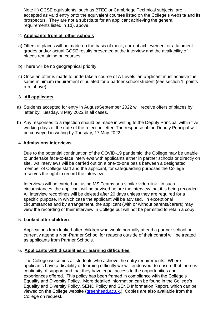Note iii) GCSE equivalents, such as BTEC or Cambridge Technical subjects, are accepted as valid entry onto the equivalent courses listed on the College's website and its prospectus. They are not a substitute for an applicant achieving the general requirements listed in 1d), above.

## 2. **Applicants from all other schools**

- a) Offers of places will be made on the basis of mock, current achievement or attainment grades and/or actual GCSE results presented at the interview and the availability of places remaining on courses.
- b) There will be no geographical priority.
- c) Once an offer is made to undertake a course of A Levels, an applicant must achieve the same minimum requirement stipulated for a partner school student (see section 1, points b-h, above).

# 3. **All applicants**

- a) Students accepted for entry in August/September 2022 will receive offers of places by letter by Tuesday, 3 May 2022 in all cases.
- b) Any responses to a rejection should be made in writing to the Deputy Principal within five working days of the date of the rejection letter. The response of the Deputy Principal will be conveyed in writing by Tuesday, 17 May 2022.

## 4. **Admissions interviews**

Due to the potential continuation of the COVID-19 pandemic, the College may be unable to undertake face-to-face interviews with applicants either in partner schools or directly on site. As interviews will be carried out on a one-to-one basis between a designated member of College staff and the applicant, for safeguarding purposes the College reserves the right to record the interview.

Interviews will be carried out using MS Teams or a similar video link. In such circumstances, the applicant will be advised before the interview that it is being recorded. All interview recordings will be deleted after 20 days unless they are required for a specific purpose, in which case the applicant will be advised. In exceptional circumstances and by arrangement, the applicant (with or without parents/carers) may view the recording of their interview in College but will not be permitted to retain a copy.

#### 5. **Looked after children**

Applications from looked after children who would normally attend a partner school but currently attend a Non-Partner School for reasons outside of their control will be treated as applicants from Partner Schools.

#### 6. **Applicants with disabilities or learning difficulties**

The College welcomes all students who achieve the entry requirements. Where applicants have a disability or learning difficulty we will endeavour to ensure that there is continuity of support and that they have equal access to the opportunities and experiences offered. This policy has been framed in compliance with the College's Equality and Diversity Policy. More detailed information can be found in the College's Equality and Diversity Policy, SEND Policy and SEND Information Report, which can be viewed on the College website [\(greenhead.ac.uk.](http://www.greenhead.ac.uk/)) Copies are also available from the College on request.